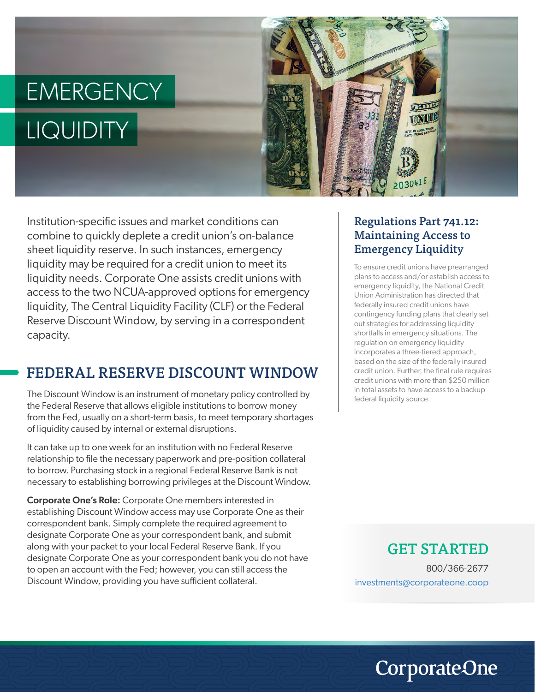# EMERGENCY LIQUIDITY



Institution-specific issues and market conditions can combine to quickly deplete a credit union's on-balance sheet liquidity reserve. In such instances, emergency liquidity may be required for a credit union to meet its liquidity needs. Corporate One assists credit unions with access to the two NCUA-approved options for emergency liquidity, The Central Liquidity Facility (CLF) or the Federal Reserve Discount Window, by serving in a correspondent capacity.

### FEDERAL RESERVE DISCOUNT WINDOW

The Discount Window is an instrument of monetary policy controlled by the Federal Reserve that allows eligible institutions to borrow money from the Fed, usually on a short-term basis, to meet temporary shortages of liquidity caused by internal or external disruptions.

It can take up to one week for an institution with no Federal Reserve relationship to file the necessary paperwork and pre-position collateral to borrow. Purchasing stock in a regional Federal Reserve Bank is not necessary to establishing borrowing privileges at the Discount Window.

Corporate One's Role: Corporate One members interested in establishing Discount Window access may use Corporate One as their correspondent bank. Simply complete the required agreement to designate Corporate One as your correspondent bank, and submit along with your packet to your local Federal Reserve Bank. If you designate Corporate One as your correspondent bank you do not have to open an account with the Fed; however, you can still access the Discount Window, providing you have sufficient collateral.

#### Regulations Part 741.12: Maintaining Access to Emergency Liquidity

To ensure credit unions have prearranged plans to access and/or establish access to emergency liquidity, the National Credit Union Administration has directed that federally insured credit unions have contingency funding plans that clearly set out strategies for addressing liquidity shortfalls in emergency situations. The regulation on emergency liquidity incorporates a three-tiered approach, based on the size of the federally insured credit union. Further, the final rule requires credit unions with more than \$250 million in total assets to have access to a backup federal liquidity source.

#### GET STARTED

800/366-2677 investments@corporateone.coop

**CorporateOne**